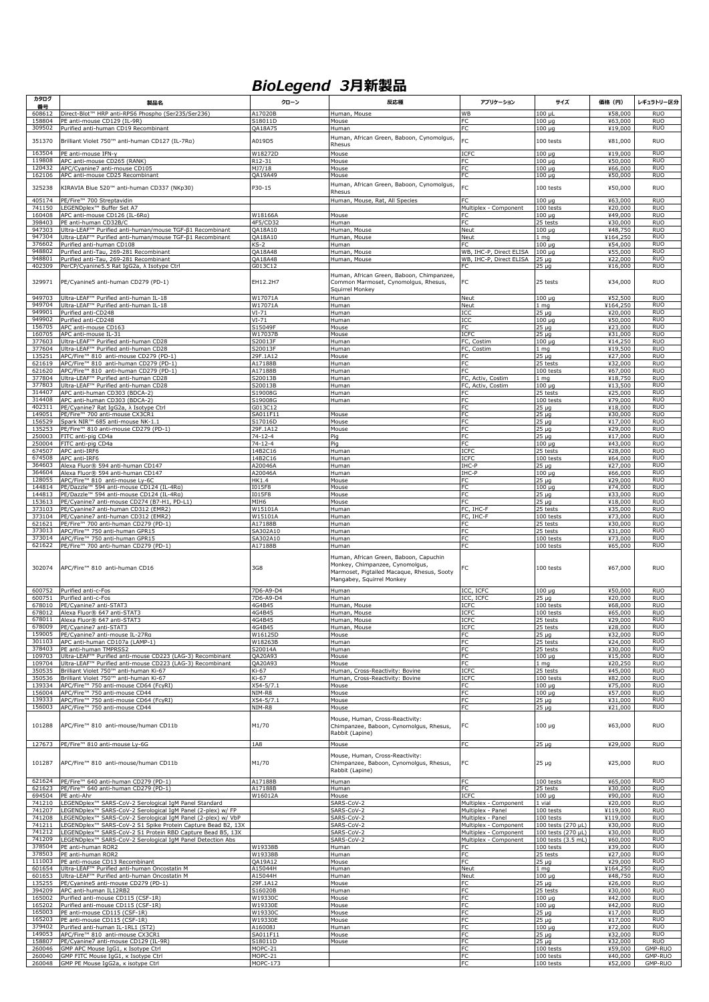## *BioLegend 3月新製品*

| カタログ<br>番号       | 製品名                                                                                                                        | クローン                           | 反応種                                                                                                                                                  | アプリケーション                                       | サイズ                                      | 価格 (円)                         | レギュラトリー区分                |
|------------------|----------------------------------------------------------------------------------------------------------------------------|--------------------------------|------------------------------------------------------------------------------------------------------------------------------------------------------|------------------------------------------------|------------------------------------------|--------------------------------|--------------------------|
| 608612           | Direct-Blot™ HRP anti-RPS6 Phospho (Ser235/Ser236)                                                                         | A17020B                        | Human, Mouse                                                                                                                                         | <b>WB</b>                                      | 100 ul                                   | ¥58,000                        | <b>RUO</b>               |
| 158804<br>309502 | PE anti-mouse CD129 (IL-9R)<br>Purified anti-human CD19 Recombinant                                                        | S18011D<br>QA18A75             | Mouse<br>Human                                                                                                                                       | FC<br>FC                                       | $\overline{100}$ µq<br>$100 \mu q$       | ¥63,000<br>¥19,000             | <b>RUO</b><br><b>RUO</b> |
| 351370           | Brilliant Violet 750™ anti-human CD127 (IL-7Ra)                                                                            | A019D5                         | Human, African Green, Baboon, Cynomolgus,                                                                                                            | FC                                             | 100 tests                                | ¥81,000                        | <b>RUO</b>               |
| 163504           | PE anti-mouse IFN-y                                                                                                        | W18272D                        | Rhesus<br>Mouse                                                                                                                                      | ICFC                                           | $100 \mu$ g                              | ¥19,000                        | <b>RUO</b>               |
| 119808<br>120432 | APC anti-mouse CD265 (RANK)                                                                                                | R12-31<br>MJ7/18               | Mouse                                                                                                                                                | FC<br>FC                                       | $100 \mu q$                              | ¥50,000<br>¥66,000             | <b>RUO</b><br><b>RUO</b> |
| 162106           | APC/Cyanine7 anti-mouse CD105<br>APC anti-mouse CD25 Recombinant                                                           | OA19A49                        | Mouse<br>Mouse                                                                                                                                       | FC                                             | $100 \mu g$<br>$100 \mu g$               | ¥50,000                        | <b>RUO</b>               |
| 325238           | KIRAVIA Blue 520™ anti-human CD337 (NKp30)                                                                                 | P30-15                         | Human, African Green, Baboon, Cynomolgus,<br>Rhesus                                                                                                  | FC                                             | 100 tests                                | ¥50,000                        | <b>RUO</b>               |
| 405174           | PE/Fire™ 700 Streptavidin                                                                                                  |                                | Human, Mouse, Rat, All Species                                                                                                                       | FC.                                            | $100 \mu g$                              | ¥63,000                        | <b>RUO</b>               |
| 741150<br>160408 | LEGENDplex™ Buffer Set A7<br>APC anti-mouse CD126 (IL-6Ra)                                                                 | W18166A                        | Mouse                                                                                                                                                | Multiplex - Component<br>FC.                   | 100 tests<br>$100 \mu q$                 | ¥20,000<br>¥49,000             | <b>RUO</b><br><b>RUO</b> |
| 398403           | PE anti-human CD32B/C                                                                                                      | 4F5/CD32                       | Human                                                                                                                                                | FC                                             | 25 tests                                 | ¥30,000                        | <b>RUO</b>               |
| 947303<br>947304 | Ultra-LEAF™ Purified anti-human/mouse TGF-β1 Recombinant<br>Ultra-LEAF™ Purified anti-human/mouse TGF-β1 Recombinant       | QA18A10<br>QA18A10             | Human, Mouse<br>Human, Mouse                                                                                                                         | Neut<br>Neut                                   | $100 \mu$ g<br>mq                        | ¥48,750<br>¥164,250            | <b>RUO</b><br><b>RUO</b> |
| 376602<br>948802 | Purified anti-human CD108<br>Purified anti-Tau, 269-281 Recombinant                                                        | KS-2<br>QA18A48                | Human<br>Human, Mouse                                                                                                                                | FC<br>WB, IHC-P, Direct ELISA                  | 100 µg<br>$100 \mu g$                    | ¥54,000<br>¥55,000             | <b>RUO</b><br><b>RUO</b> |
| 948801           | Purified anti-Tau, 269-281 Recombinant                                                                                     | QA18A48                        | Human, Mouse                                                                                                                                         | WB, IHC-P, Direct ELISA                        | $25 \mu q$                               | ¥22,000                        | <b>RUO</b>               |
| 402309           | PerCP/Cyanine5.5 Rat IgG2a, $\lambda$ Isotype Ctrl                                                                         | G013C12                        | Human, African Green, Baboon, Chimpanzee,                                                                                                            | FC                                             | 25 µg                                    | ¥16,000                        | <b>RUO</b>               |
| 329971           | PE/Cyanine5 anti-human CD279 (PD-1)                                                                                        | EH12.2H7                       | Common Marmoset, Cynomolgus, Rhesus,<br>Squirrel Monkey                                                                                              | FC                                             | 25 tests                                 | ¥34,000                        | <b>RUO</b>               |
| 949703           | Ultra-LEAF™ Purified anti-human IL-18                                                                                      | W17071A                        | Human                                                                                                                                                | Neut                                           | $100 \mu$ g                              | ¥52,500                        | <b>RUO</b>               |
| 949704<br>949901 | Ultra-LEAF™ Purified anti-human IL-18<br>Purified anti-CD248                                                               | W17071A<br>$VI-71$             | Human<br>Human                                                                                                                                       | Neut<br>ICC                                    | 1 mg<br>25 µg                            | ¥164,250<br>¥20,000            | <b>RUO</b><br><b>RUO</b> |
| 949902<br>156705 | Purified anti-CD248<br>APC anti-mouse CD163                                                                                | $VI-71$<br>S15049F             | Human                                                                                                                                                | ICC<br>FC                                      | $100 \mu$ g                              | ¥50,000                        | <b>RUO</b><br><b>RUO</b> |
| 160705           | APC anti-mouse IL-31                                                                                                       | W17037B                        | Mouse<br>Mouse                                                                                                                                       | ICFC                                           | 25 µg<br>$25 \mu q$                      | ¥23,000<br>¥31,000             | <b>RUO</b>               |
| 377603<br>377604 | Ultra-LEAF™ Purified anti-human CD28<br>Ultra-LEAF™ Purified anti-human CD28                                               | S20013F<br>S20013F             | Human<br>Human                                                                                                                                       | FC, Costim<br>FC, Costim                       | $100 \mu q$<br>1 mg                      | ¥14,250<br>¥19,500             | <b>RUO</b><br><b>RUO</b> |
| 135251           | APC/Fire™ 810 anti-mouse CD279 (PD-1)                                                                                      | 29F.1A12                       | Mouse                                                                                                                                                | FC                                             | 25 µg                                    | ¥27,000                        | <b>RUO</b>               |
| 621619<br>621620 | APC/Fire™ 810 anti-human CD279 (PD-1)<br>APC/Fire™ 810 anti-human CD279 (PD-1)                                             | A17188B<br>A17188B             | Human<br>Human                                                                                                                                       | FC<br><b>FC</b>                                | 25 tests<br>100 tests                    | ¥32,000<br>¥67,000             | <b>RUO</b><br><b>RUO</b> |
| 377804<br>377803 | Ultra-LEAF™ Purified anti-human CD28<br>Ultra-LEAF™ Purified anti-human CD28                                               | S20013B<br>S20013B             | Human<br>Human                                                                                                                                       | FC, Activ, Costim<br>FC, Activ, Costim         | 1 mg<br>$100 \mu$ g                      | ¥18,750<br>¥13,500             | <b>RUO</b><br><b>RUO</b> |
| 314407           | APC anti-human CD303 (BDCA-2)                                                                                              | S19008G                        | Human                                                                                                                                                | FC.                                            | 25 tests                                 | ¥25,000                        | <b>RUO</b>               |
| 314408<br>402311 | APC anti-human CD303 (BDCA-2)<br>PE/Cyanine7 Rat IgG2a, $\lambda$ Isotype Ctrl                                             | S19008G<br>G013C12             | Human                                                                                                                                                | <b>FC</b><br>FC                                | 100 tests<br>25 µg                       | ¥79,000<br>¥18,000             | <b>RUO</b><br><b>RUO</b> |
| 149051<br>156529 | PE/Fire™ 700 anti-mouse CX3CR1<br>Spark NIR™ 685 anti-mouse NK-1.1                                                         | SA011F11<br>S17016D            | Mouse<br>Mouse                                                                                                                                       | FC<br><b>FC</b>                                | 25 µg<br>$25 \mu q$                      | ¥30,000<br>¥17,000             | <b>RUO</b><br><b>RUO</b> |
| 135253           | PE/Fire™ 810 anti-mouse CD279 (PD-1)                                                                                       | 29F.1A12                       | Mouse                                                                                                                                                | FC                                             | $25 \mu q$                               | ¥29,000                        | <b>RUO</b>               |
| 250003<br>250004 | FITC anti-pig CD4a<br>FITC anti-pig CD4a                                                                                   | $74 - 12 - 4$<br>$74 - 12 - 4$ | Pig<br>Pig                                                                                                                                           | FC<br>FC                                       | 25 µg<br>$100 \mu q$                     | ¥17,000<br>¥43,000             | <b>RUO</b><br><b>RUO</b> |
| 674507<br>674508 | APC anti-IRF6<br>APC anti-IRF6                                                                                             | 14B2C16                        | Human                                                                                                                                                | ICFC<br>ICFC                                   | 25 tests                                 | ¥28,000                        | <b>RUO</b><br><b>RUO</b> |
| 364603           | Alexa Fluor® 594 anti-human CD147                                                                                          | 14B2C16<br>A20046A             | Human<br>Human                                                                                                                                       | IHC-P                                          | 100 tests<br>25 µg                       | ¥64,000<br>¥27,000             | <b>RUO</b>               |
| 364604<br>128055 | Alexa Fluor® 594 anti-human CD147<br>APC/Fire™ 810 anti-mouse Ly-6C                                                        | A20046A<br>HK1.4               | Human<br>Mouse                                                                                                                                       | IHC-P<br>FC                                    | $100 \mu g$<br>25 µg                     | ¥66,000<br>¥29,000             | <b>RUO</b><br><b>RUO</b> |
| 144814           | PE/Dazzle™ 594 anti-mouse CD124 (IL-4Ra)                                                                                   | I015F8                         | Mouse                                                                                                                                                | FC                                             | $100 \mu q$                              | ¥74,000                        | <b>RUO</b>               |
| 144813<br>153613 | PE/Dazzle™ 594 anti-mouse CD124 (IL-4Ra)<br>PE/Cyanine7 anti-mouse CD274 (B7-H1, PD-L1)                                    | I015F8<br>MIH6                 | Mouse<br>Mouse                                                                                                                                       | FC<br>FC                                       | 25 µg<br>25 µg                           | ¥33,000<br>¥18,000             | <b>RUO</b><br><b>RUO</b> |
| 373103<br>373104 | PE/Cyanine7 anti-human CD312 (EMR2)<br>PE/Cyanine7 anti-human CD312 (EMR2)                                                 | W15101A<br>W15101A             | Human<br>Human                                                                                                                                       | FC, IHC-F<br>FC, IHC-F                         | 25 tests<br>100 tests                    | ¥35,000<br>¥73,000             | <b>RUO</b><br><b>RUO</b> |
| 621621           | PE/Fire™ 700 anti-human CD279 (PD-1)                                                                                       | A17188B                        | Human                                                                                                                                                | FC                                             | 25 tests                                 | ¥30,000                        | <b>RUO</b>               |
| 373013<br>373014 | APC/Fire™ 750 anti-human GPR15<br>APC/Fire™ 750 anti-human GPR15                                                           | SA302A10<br>SA302A10           | Human<br>Human                                                                                                                                       | FC<br><b>FC</b>                                | 25 tests<br>100 tests                    | ¥31,000<br>¥73,000             | <b>RUO</b><br><b>RUO</b> |
| 621622           | PE/Fire™ 700 anti-human CD279 (PD-1)                                                                                       | A17188B                        | Human                                                                                                                                                | FC                                             | 100 tests                                | ¥65,000                        | <b>RUO</b>               |
| 302074           | APC/Fire™ 810 anti-human CD16                                                                                              | 3G8                            | Human, African Green, Baboon, Capuchin<br>Monkey, Chimpanzee, Cynomolgus,<br>Marmoset, Pigtailed Macaque, Rhesus, Sooty<br>Mangabey, Squirrel Monkey | FC                                             | 100 tests                                | ¥67,000                        | <b>RUO</b>               |
| 600752<br>600751 | Purified anti-c-Fos<br>Purified anti-c-Fos                                                                                 | 7D6-A9-D4<br>7D6-A9-D4         | Human<br>Human                                                                                                                                       | ICC, ICFC<br>ICC, ICFC                         | $100 \mu g$<br>25 µg                     | ¥50,000<br>¥20,000             | <b>RUO</b><br><b>RUO</b> |
| 678010           | PE/Cyanine7 anti-STAT3                                                                                                     | 4G4B45                         | Human, Mouse                                                                                                                                         | <b>ICFC</b>                                    | 100 tests                                | ¥68,000                        | <b>RUO</b>               |
| 678012<br>678011 | Alexa Fluor® 647 anti-STAT3<br>Alexa Fluor® 647 anti-STAT3                                                                 | 4G4B45<br>4G4B45               | Human, Mouse<br>Human, Mouse                                                                                                                         | ICFC<br>ICFC                                   | 100 tests<br>25 tests                    | ¥65,000<br>¥29,000             | <b>RUO</b><br><b>RUO</b> |
| 678009<br>159005 | PE/Cvanine7 anti-STAT3<br>PE/Cvanine7 anti-mouse IL-27Rg                                                                   | 4G4B45<br>W16125D              | Human, Mouse<br>Mouse                                                                                                                                | ICFC<br>FC                                     | 25 tests<br>25 µg                        | ¥28,000<br>¥32,000             | <b>RUO</b><br><b>RUO</b> |
| 301103           | APC anti-human CD107a (LAMP-1)                                                                                             | W18263B                        | Human                                                                                                                                                | FC                                             | 25 tests                                 | ¥24,000                        | <b>RUO</b>               |
| 378403<br>109703 | PE anti-human TMPRSS2<br>Ultra-LEAF™ Purified anti-mouse CD223 (LAG-3) Recombinant                                         | S20014A<br>QA20A93             | Human<br>Mouse                                                                                                                                       | <b>FC</b><br>FC                                | 25 tests<br>$100 \mu q$                  | ¥30,000<br>¥15,000             | <b>RUO</b><br><b>RUO</b> |
| 109704<br>350535 | Ultra-LEAF™ Purified anti-mouse CD223 (LAG-3) Recombinant                                                                  | QA20A93                        | Mouse                                                                                                                                                | FC                                             | mq                                       | ¥20,250                        | <b>RUO</b><br><b>RUO</b> |
| 350536           | Brilliant Violet 750™ anti-human Ki-67<br>Brilliant Violet 750™ anti-human Ki-67                                           | Ki-67<br>Ki-67                 | Human, Cross-Reactivity: Bovine<br>Human, Cross-Reactivity: Bovine                                                                                   | ICFC<br>ICFC                                   | 25 tests<br>100 tests                    | ¥45,000<br>¥82,000             | <b>RUO</b>               |
| 139334<br>156004 | APC/Fire™ 750 anti-mouse CD64 (FcyRI)<br>APC/Fire™ 750 anti-mouse CD44                                                     | $X54 - 5/7.1$<br>NIM-R8        | Mouse<br>Mouse                                                                                                                                       | FC<br>FC                                       | $100 \mu q$<br>$100 \mu g$               | ¥75,000<br>¥57,000             | <b>RUO</b><br><b>RUO</b> |
| 139333           | APC/Fire™ 750 anti-mouse CD64 (FcyRI)                                                                                      | $X54 - 5/7.1$                  | Mouse                                                                                                                                                | FC                                             | 25 µg                                    | ¥31,000                        | <b>RUO</b>               |
| 156003           | APC/Fire™ 750 anti-mouse CD44                                                                                              | NIM-R8                         | Mouse                                                                                                                                                | <b>FC</b>                                      | $25 \mu q$                               | ¥21,000                        | <b>RUO</b>               |
| 101288<br>127673 | APC/Fire™ 810 anti-mouse/human CD11b<br>PE/Fire™ 810 anti-mouse Ly-6G                                                      | M1/70<br>1A8                   | Mouse, Human, Cross-Reactivity:<br>Chimpanzee, Baboon, Cynomolgus, Rhesus,<br>Rabbit (Lapine)<br>Mouse                                               | FC<br>FC                                       | $100 \mu g$<br>25 µg                     | ¥63,000<br>¥29,000             | <b>RUO</b><br><b>RUO</b> |
| 101287           | APC/Fire™ 810 anti-mouse/human CD11b                                                                                       | M1/70                          | Mouse, Human, Cross-Reactivity:<br>Chimpanzee, Baboon, Cynomolgus, Rhesus,<br>Rabbit (Lapine)                                                        | FC                                             | $25 \mu g$                               | ¥25,000                        | <b>RUO</b>               |
| 621624           | PE/Fire™ 640 anti-human CD279 (PD-1)                                                                                       | A17188B                        | Human                                                                                                                                                | FC                                             | 100 tests                                | ¥65,000                        | <b>RUO</b>               |
| 621623<br>694504 | PE/Fire™ 640 anti-human CD279 (PD-1)<br>PE anti-Ahr                                                                        | A17188B<br>W16012A             | Human<br>Mouse                                                                                                                                       | FC<br>ICFC                                     | 25 tests<br>100 µg                       | ¥30,000<br>¥90,000             | <b>RUO</b><br><b>RUO</b> |
| 741210<br>741207 | LEGENDplex™ SARS-CoV-2 Serological IgM Panel Standard<br>LEGENDplex™ SARS-CoV-2 Serological IgM Panel (2-plex) w/ FP       |                                | SARS-CoV-2<br>SARS-CoV-2                                                                                                                             | Multiplex - Component<br>Multiplex - Panel     | 1 vial<br>$100$ tests                    | ¥20,000<br>¥119,000            | <b>RUO</b><br><b>RUO</b> |
| 741208           | LEGENDplex™ SARS-CoV-2 Serological IgM Panel (2-plex) w/ VbP                                                               |                                | SARS-CoV-2                                                                                                                                           | Multiplex - Panel                              | 100 tests                                | ¥119,000                       | <b>RUO</b>               |
| 741211<br>741212 | LEGENDplex™ SARS-CoV-2 S1 Spike Protein Capture Bead B2, 13X<br>LEGENDplex™ SARS-CoV-2 S1 Protein RBD Capture Bead B5, 13X |                                | SARS-CoV-2<br>SARS-CoV-2                                                                                                                             | Multiplex - Component<br>Multiplex - Component | 100 tests (270 µL)<br>100 tests (270 µL) | ¥30,000<br>¥30,000             | <b>RUO</b><br><b>RUO</b> |
| 741209<br>378504 | LEGENDplex™ SARS-CoV-2 Serological IgM Panel Detection Abs<br>PE anti-human ROR2                                           | W19338B                        | SARS-CoV-2<br>Human                                                                                                                                  | Multiplex - Component<br>FC                    | 100 tests (3.5 mL)<br>100 tests          | ¥60,000<br>¥39,000             | <b>RUO</b><br><b>RUO</b> |
| 378503           | PE anti-human ROR2                                                                                                         | W19338B                        | Human                                                                                                                                                | FC                                             | 25 tests                                 | ¥27,000                        | <b>RUO</b>               |
| 111003<br>601654 | PE anti-mouse CD13 Recombinant<br>Ultra-LEAF™ Purified anti-human Oncostatin M                                             | QA19A12<br>A15044H             | Mouse<br>Human                                                                                                                                       | FC<br>Neut                                     | $25 \mu g$<br>1 mg                       | ¥29,000<br>¥164,250            | <b>RUO</b><br><b>RUO</b> |
| 601653           | Ultra-LEAF™ Purified anti-human Oncostatin M                                                                               | A15044H                        | Human                                                                                                                                                | Neut                                           | $100 \mu g$                              | ¥48,750                        | <b>RUO</b>               |
| 135255<br>394209 | PE/Cyanine5 anti-mouse CD279 (PD-1)<br>APC anti-human IL12RB2                                                              | 29F.1A12<br>S16020B            | Mouse<br>Human                                                                                                                                       | FC<br>FC                                       | $25 \mu g$<br>25 tests                   | ¥26,000<br>¥30,000             | <b>RUO</b><br><b>RUO</b> |
| 165002<br>165202 | Purified anti-mouse CD115 (CSF-1R)<br>Purified anti-mouse CD115 (CSF-1R)                                                   | W19330C<br>W19330E             | Mouse<br>Mouse                                                                                                                                       | FC<br>FC                                       | $100 \mu g$<br>$100 \mu g$               | ¥42,000<br>$\frac{1}{442,000}$ | <b>RUO</b><br><b>RUO</b> |
| 165003           | PE anti-mouse CD115 (CSF-1R)                                                                                               | W19330C                        | Mouse                                                                                                                                                | FC                                             | $25 \mu g$                               | $\overline{417,000}$           | <b>RUO</b>               |
| 165203<br>379402 | PE anti-mouse CD115 (CSF-1R)<br>Purified anti-human IL-1RL1 (ST2)                                                          | W19330E<br>A16008J             | Mouse<br>Human                                                                                                                                       | FC<br>FC                                       | $25 \mu q$<br>$100 \mu q$                | ¥17,000<br>¥72,000             | <b>RUO</b><br><b>RUO</b> |
| 149053<br>158807 | APC/Fire™ 810 anti-mouse CX3CR1<br>PE/Cyanine7 anti-mouse CD129 (IL-9R)                                                    | SA011F11<br>S18011D            | Mouse<br>Mouse                                                                                                                                       | FC<br>FC                                       | 25 µg<br>25 µg                           | ¥32,000<br>¥32,000             | <b>RUO</b><br><b>RUO</b> |
| 260046           | GMP APC Mouse IgG1, K Isotype Ctrl                                                                                         | MOPC-21                        |                                                                                                                                                      | <b>FC</b>                                      | 100 tests                                | ¥59,000                        | GMP-RUO                  |
| 260040<br>260048 | GMP FITC Mouse IgG1, K Isotype Ctrl<br>GMP PE Mouse IqG2a, k isotype Ctrl                                                  | MOPC-21<br>MOPC-173            |                                                                                                                                                      | FC<br>FC                                       | 100 tests<br>100 tests                   | ¥40,000<br>¥52,000             | GMP-RUO<br>GMP-RUO       |